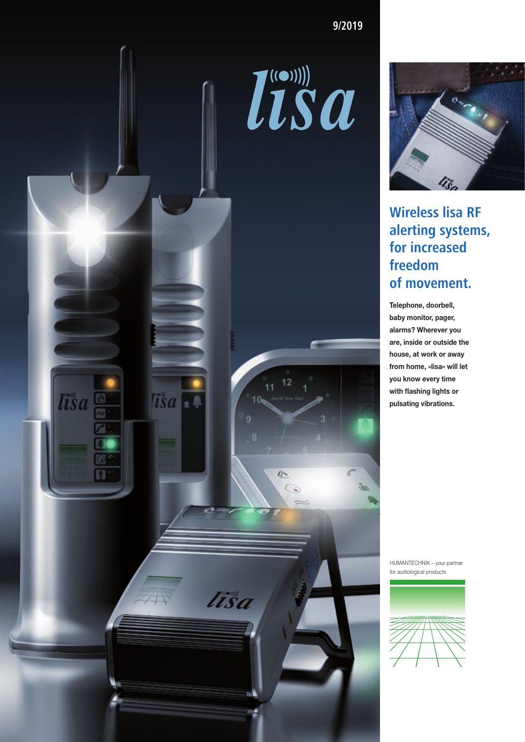



**Wireless lisa RF alerting systems, for increased freedom of movement.**

**Telephone, doorbell, baby monitor, pager, alarms? Wherever you are, inside or outside the house, at work or away from home, »lisa« will let you know every time with flashing lights or pulsating vibrations.**

HUMANTECHNIK – your partner for audiological products

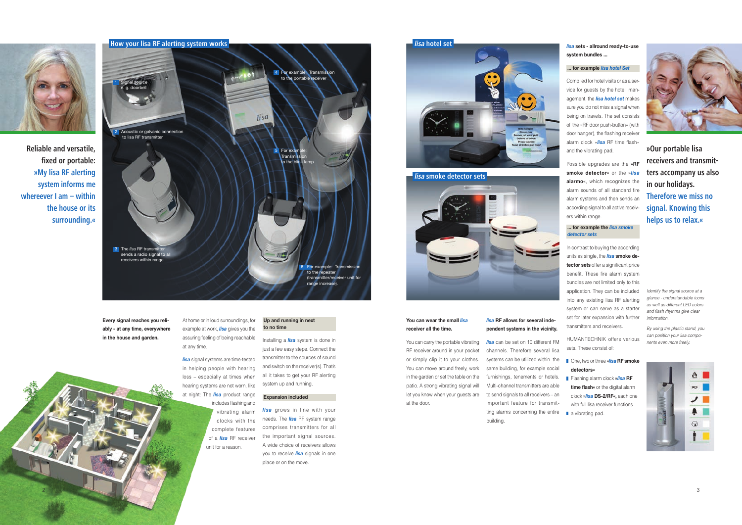

**Reliable and versatile, fixed or portable: »My lisa RF alerting system informs me whereever I am – within the house or its surrounding.«** 

> **Every signal reaches you reliably - at any time, everywhere in the house and garden.**

**»Our portable lisa receivers and transmitters accompany us also in our holidays. Therefore we miss no signal. Knowing this helps us to relax.«**

*Identify the signal source at a glance - understandable icons as well as different LED colors and flash rhythms give clear information.*

*lisa* signal systems are time-tested in helping people with hearing loss – especially at times when hearing systems are not worn, like at night: The *lisa* product range includes flashing and vibrating alarm clocks with the complete features of a *lisa* RF receiver unit for a reason.

*By using the plastic stand, you can position your lisa components even more freely.*



At home or in loud surroundings, for example at work, *lisa* gives you the assuring feeling of being reachable at any time.

#### **Up and running in next to no time**

*lisa* can be set on 10 different FM channels. Therefore several lisa systems can be utilized within the same building, for example social furnishings, tenements or hotels. Multi-channel transmitters are able to send signals to all receivers – an important feature for transmitting alarms concerning the entire building.

Installing a *lisa* system is done in just a few easy steps. Connect the transmitter to the sources of sound and switch on the receiver(s). That's all it takes to get your RF alerting system up and running.

# **Expansion included**

*lisa* grows in line with your needs. The *lisa* RF system range comprises transmitters for all the important signal sources. A wide choice of receivers allows you to receive *lisa* signals in one place or on the move.



# **You can wear the small** *lisa* **receiver all the time.**

- One, two or three **»***lisa* **RF smoke detectors«**
- Flashing alarm clock **»***lisa* **RF time flash«** or the digital alarm clock **»***lisa* **DS-2/RF«,** each one with full lisa receiver functions
- a vibrating pad.



You can carry the portable vibrating RF receiver around in your pocket or simply clip it to your clothes. You can move around freely, work in the garden or set the table on the patio. A strong vibrating signal will let you know when your guests are at the door.

# *lisa* **RF allows for several independent systems in the vicinity.**

*lisa* **sets - allround ready-to-use system bundles ...**

# **... for example** *lisa hotel Set*

Compiled for hotel visits or as a service for guests by the hotel management, the *lisa hotel set* makes sure you do not miss a signal when being on travels. The set consists of the »RF door push-button« (with door hanger), the flashing receiver alarm clock »*lisa* RF time flash« and the vibrating pad.



Possible upgrades are the **»RF smoke detector«** or the **»***lisa*  **alarmo«**, which recognizes the alarm sounds of all standard fire alarm systems and then sends an according signal to all active receivers within range.

#### **... for example the** *lisa smoke detector sets*

In contrast to buying the according units as single, the *lisa* **smoke detector sets** offer a significant price benefit. These fire alarm system bundles are not limited only to this application. They can be included into any existing lisa RF alerting system or can serve as a starter set for later expansion with further transmitters and receivers.

HUMANTECHNIK offers various sets. These consist of:

**lisa smoke detector sets**

![](_page_1_Picture_12.jpeg)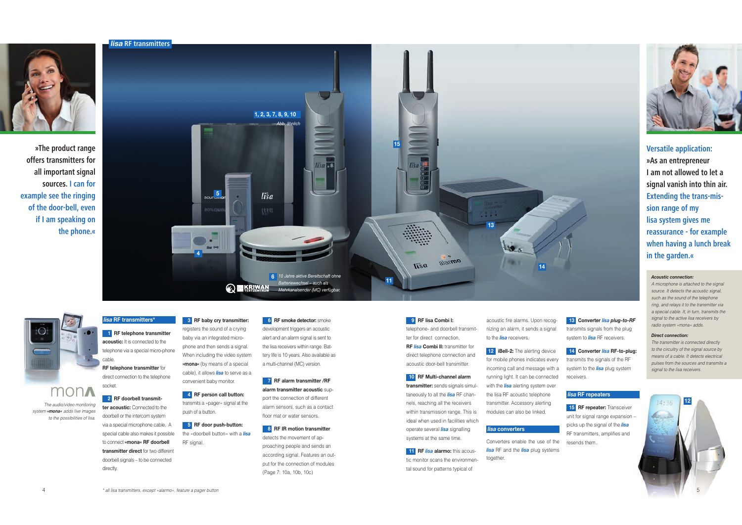![](_page_2_Picture_0.jpeg)

**»The product range offers transmitters for all important signal sources. I can for example see the ringing of the door-bell, even if I am speaking on the phone.«**

# **lisa RF transmitters\***

**1 RF telephone transmitter acoustic:** It is connected to the telephone via a special micro-phone cable.

**RF telephone transmitter** for direct connection to the telephone socket.

**2 RF doorbell transmitter acoustic:** Connected to the doorbell or the intercom system via a special microphone cable. A special cable also makes it possible to connect **»mona« RF doorbell transmitter direct** for two different doorbell signals – to be connected directly.

**6 RF smoke detector:** smoke development triggers an acoustic alert and an alarm signal is sent to the lisa receivers within range. Battery life is 10 years. Also available as a multi-channel (MC) version.

**3 RF baby cry transmitter:** registers the sound of a crying baby via an integrated microphone and then sends a signal. When including the video system **»mona«** (by means of a special cable), it allows *lisa* to serve as a convenient baby monitor.

**4 RF person call button:** transmits a »pager« signal at the push of a button.

**5 RF door push-button:** the »doorbell button« with a *lisa* RF signal.

> **11 RF** *lisa* **alarmo:** this acoustic monitor scans the environmental sound for patterns typical of

**12 iBell-2:** The alerting device for mobile phones indicates every incoming call and message with a running light. It can be connected with the *lisa* alerting system over the lisa RF acoustic telephone transmitter. Accessory alerting modules can also be linked.

**7 RF alarm transmitter /RF alarm transmitter acoustic** support the connection of different alarm sensors, such as a contact floor mat or water sensors.

**15 RF repeater:** Transceiver unit for signal range expansion – picks up the signal of the *lisa* RF transmitters, amplifies and resends them..

![](_page_2_Picture_30.jpeg)

**8 RF IR motion transmitter** detects the movement of approaching people and sends an according signal. Features an output for the connection of modules (Page 7: 10a, 10b, 10c)

**9 RF lisa Combi I:** telephone- and doorbell transmitter for direct connection, **RF** *lisa* **Combi II:** transmitter for

direct telephone connection and acoustic door-bell transmitter.

**10 RF Multi-channel alarm transmitter:** sends signals simultaneously to all the *lisa* RF channels, reaching all the receivers within transmission range. This is ideal when used in facilities which operate several *lisa* signalling systems at the same time.

mon *The audio/video monitoring* 

acoustic fire alarms. Upon recognizing an alarm, it sends a signal to the *lisa* receivers.

# **lisa converters**

Converters enable the use of the *lisa* RF and the *lisa* plug systems together.

**13 Converter** *lisa plug-to-RF* transmits signals from the plug system to *lisa* RF receivers.

**14 Converter** *lisa* **RF-to-plug:**  transmits the signals of the RF system to the *lisa* plug system receivers.

# **lisa RF repeaters**

**Versatile application: »As an entrepreneur I am not allowed to let a signal vanish into thin air. Extending the trans-mission range of my lisa system gives me reassurance - for example when having a lunch break in the garden.«**

#### *Acoustic connection:*

*A microphone is attached to the signal source. It detects the acoustic signal, such as the sound of the telephone ring, and relays it to the transmitter via a special cable. It, in turn, transmits the signal to the active lisa receivers by radio system »mona« adds.*

*\* all lisa transmitters, except »alarmo«, feature a pager button* 4 5

![](_page_2_Picture_2.jpeg)

![](_page_2_Picture_3.jpeg)

#### *Direct connection:*

*The transmitter is connected directly to the circuitry of the signal source by means of a cable. It detects electrical pulses from the sources and transmits a signal to the lisa receivers.*

*system »mona« adds live images to the possibilities of lisa.*

![](_page_2_Picture_36.jpeg)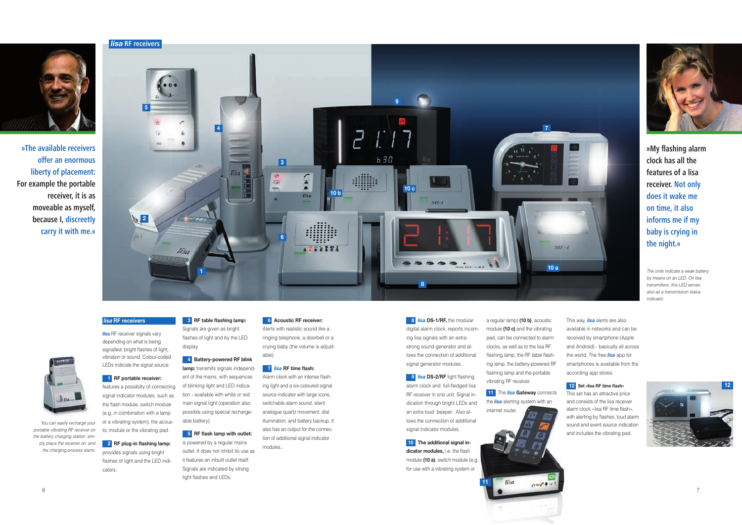![](_page_3_Picture_26.jpeg)

![](_page_3_Picture_0.jpeg)

**»The available receivers offer an enormous liberty of placement: For example the portable receiver, it is as moveable as myself, because I, discreetly carry it with me.«**

> *lisa* RF receiver signals vary depending on what is being signalled: bright flashes of light, vibration or sound. Colour-coded LEDs indicate the signal source.

#### **lisa RF receivers**

#### **1 RF portable receiver:**

features a possibilty of connecting signal indicator modules, such as the flash module, switch module (e.g. in combination with a lamp or a vibrating system), the acoustic module or the vibrating pad.

**2 RF plug-in flashing lamp:**  provides signals using bright flashes of light and the LED indicators.

**3 RF table flashing lamp:** Signals are given as bright flashes of light and by the LED display.

# **4 Battery-powered RF blink**

**lamp:** transmits signals independent of the mains, with sequences of blinking light and LED indication - available with white or red main signal light (operation also possible using special rechargeable battery).

**8** *lisa* **DS-1/RF**, the modular digital alarm clock, reports incoming lisa signals with an extrastrong sound generator and allows the connection of additional signal generator modules.

**9** *lisa* **DS-2/RF** light flashing alarm clock and full-fledged lisa RF receiver in one unit. Signal indication through bright LEDs and an extra loud beeper. Also allows the connection of additional signal indicator modules.

**5 RF flash lamp with outlet:** is powered by a regular mains outlet. It does not inhibit its use as it features an inbuilt outlet itself. Signals are indicated by strong light flashes and LEDs.

**6 Acoustic RF receiver:** Alerts with realistic sound like a ringing telephone, a doorbell or a crying baby (the volume is adjustable).

> **11** The *lisa* Gateway connects the *lisa* alerting system with an

**7** *lisa* **RF time flash:** Alarm clock with an intense flashing light and a six-coloured signal source indicator with large icons. switchable alarm sound, silent analogue quartz movement, dial illumination, and battery backup. It also has an output for the connection of additional signal indicator modules..

![](_page_3_Picture_19.jpeg)

**10****The additional signal indicator modules,** i.e. the flash module **(10 a)**, switch module (e.g. for use with a vibrating system or

**»My flashing alarm clock has all the features of a lisa receiver. Not only does it wake me on time, it also informs me if my baby is crying in the night.«**

*The units indicate a weak battery by means on an LED. On lisa transmitters, this LED serves also as a transmission status indicator.*

*You can easily recharge your portable vibrating RF receiver on the battery charging station: simply place the receiver on, and the charging process starts.*

a regular lamp) **(10 b)**, acoustic module **(10 c)** and the vibrating pad, can be connected to alarm clocks, as well as to the lisa RF flashing lamp, the RF table flashing lamp, the battery-powered RF flashing lamp and the portable vibrating RF receiver.

This way, *lisa* alerts are also available in networks and can be received by smartphone (Apple and Android) - basically all across the world. The free *lisa* app for smartphones is available from the according app stores.

**12 Set »lisa RF time flash«** This set has an attractive price and consists of the lisa receiver alarm clock »lisa RF time flash«, with alerting by flashes, loud alarm sound and event source indication and includes the vibrating pad.

![](_page_3_Picture_23.jpeg)

![](_page_3_Picture_2.jpeg)